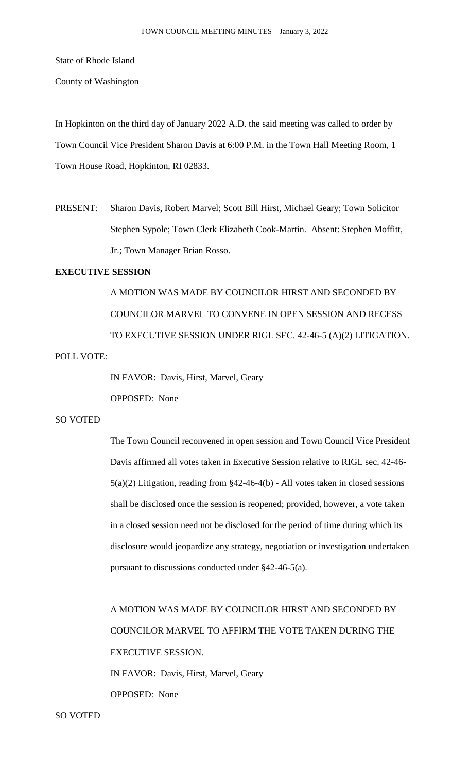State of Rhode Island

County of Washington

In Hopkinton on the third day of January 2022 A.D. the said meeting was called to order by Town Council Vice President Sharon Davis at 6:00 P.M. in the Town Hall Meeting Room, 1 Town House Road, Hopkinton, RI 02833.

PRESENT: Sharon Davis, Robert Marvel; Scott Bill Hirst, Michael Geary; Town Solicitor Stephen Sypole; Town Clerk Elizabeth Cook-Martin. Absent: Stephen Moffitt, Jr.; Town Manager Brian Rosso.

# **EXECUTIVE SESSION**

A MOTION WAS MADE BY COUNCILOR HIRST AND SECONDED BY COUNCILOR MARVEL TO CONVENE IN OPEN SESSION AND RECESS TO EXECUTIVE SESSION UNDER RIGL SEC. 42-46-5 (A)(2) LITIGATION.

POLL VOTE:

IN FAVOR: Davis, Hirst, Marvel, Geary OPPOSED: None

#### SO VOTED

The Town Council reconvened in open session and Town Council Vice President Davis affirmed all votes taken in Executive Session relative to RIGL sec. 42-46- 5(a)(2) Litigation, reading from §42-46-4(b) - All votes taken in closed sessions shall be disclosed once the session is reopened; provided, however, a vote taken in a closed session need not be disclosed for the period of time during which its disclosure would jeopardize any strategy, negotiation or investigation undertaken pursuant to discussions conducted under §42-46-5(a).

A MOTION WAS MADE BY COUNCILOR HIRST AND SECONDED BY COUNCILOR MARVEL TO AFFIRM THE VOTE TAKEN DURING THE EXECUTIVE SESSION. IN FAVOR: Davis, Hirst, Marvel, Geary OPPOSED: None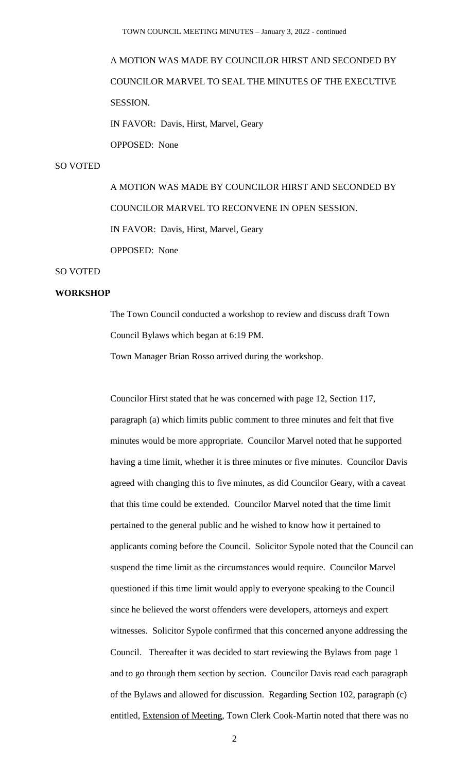# A MOTION WAS MADE BY COUNCILOR HIRST AND SECONDED BY COUNCILOR MARVEL TO SEAL THE MINUTES OF THE EXECUTIVE SESSION. IN FAVOR: Davis, Hirst, Marvel, Geary

OPPOSED: None

#### SO VOTED

A MOTION WAS MADE BY COUNCILOR HIRST AND SECONDED BY COUNCILOR MARVEL TO RECONVENE IN OPEN SESSION. IN FAVOR: Davis, Hirst, Marvel, Geary OPPOSED: None

# SO VOTED

#### **WORKSHOP**

The Town Council conducted a workshop to review and discuss draft Town Council Bylaws which began at 6:19 PM.

Town Manager Brian Rosso arrived during the workshop.

Councilor Hirst stated that he was concerned with page 12, Section 117, paragraph (a) which limits public comment to three minutes and felt that five minutes would be more appropriate. Councilor Marvel noted that he supported having a time limit, whether it is three minutes or five minutes. Councilor Davis agreed with changing this to five minutes, as did Councilor Geary, with a caveat that this time could be extended. Councilor Marvel noted that the time limit pertained to the general public and he wished to know how it pertained to applicants coming before the Council. Solicitor Sypole noted that the Council can suspend the time limit as the circumstances would require. Councilor Marvel questioned if this time limit would apply to everyone speaking to the Council since he believed the worst offenders were developers, attorneys and expert witnesses. Solicitor Sypole confirmed that this concerned anyone addressing the Council. Thereafter it was decided to start reviewing the Bylaws from page 1 and to go through them section by section. Councilor Davis read each paragraph of the Bylaws and allowed for discussion. Regarding Section 102, paragraph (c) entitled, Extension of Meeting, Town Clerk Cook-Martin noted that there was no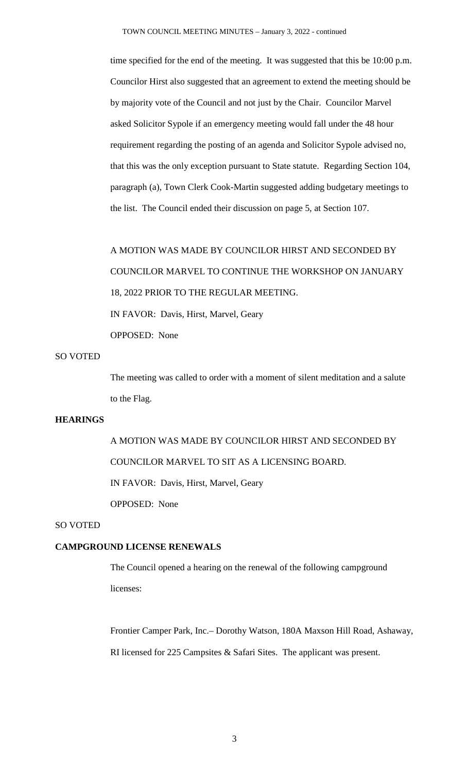time specified for the end of the meeting. It was suggested that this be 10:00 p.m. Councilor Hirst also suggested that an agreement to extend the meeting should be by majority vote of the Council and not just by the Chair. Councilor Marvel asked Solicitor Sypole if an emergency meeting would fall under the 48 hour requirement regarding the posting of an agenda and Solicitor Sypole advised no, that this was the only exception pursuant to State statute. Regarding Section 104, paragraph (a), Town Clerk Cook-Martin suggested adding budgetary meetings to the list. The Council ended their discussion on page 5, at Section 107.

# A MOTION WAS MADE BY COUNCILOR HIRST AND SECONDED BY COUNCILOR MARVEL TO CONTINUE THE WORKSHOP ON JANUARY 18, 2022 PRIOR TO THE REGULAR MEETING. IN FAVOR: Davis, Hirst, Marvel, Geary OPPOSED: None

# SO VOTED

The meeting was called to order with a moment of silent meditation and a salute to the Flag.

# **HEARINGS**

A MOTION WAS MADE BY COUNCILOR HIRST AND SECONDED BY COUNCILOR MARVEL TO SIT AS A LICENSING BOARD. IN FAVOR: Davis, Hirst, Marvel, Geary OPPOSED: None

#### SO VOTED

#### **CAMPGROUND LICENSE RENEWALS**

The Council opened a hearing on the renewal of the following campground licenses:

Frontier Camper Park, Inc.– Dorothy Watson, 180A Maxson Hill Road, Ashaway, RI licensed for 225 Campsites & Safari Sites. The applicant was present.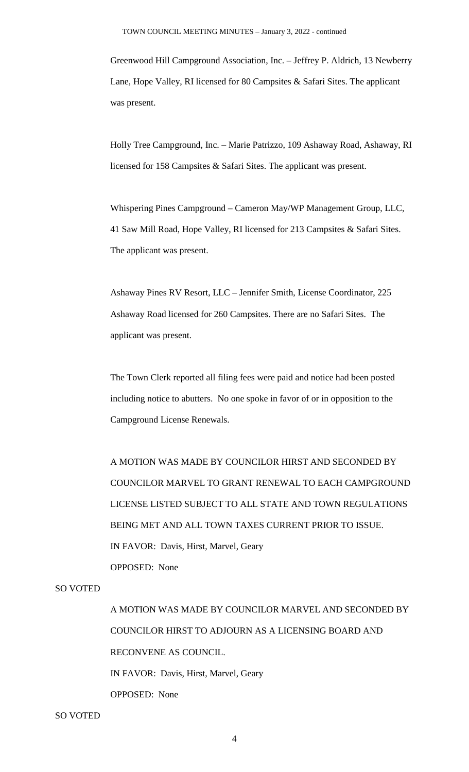Greenwood Hill Campground Association, Inc. – Jeffrey P. Aldrich, 13 Newberry Lane, Hope Valley, RI licensed for 80 Campsites & Safari Sites. The applicant was present.

Holly Tree Campground, Inc. – Marie Patrizzo, 109 Ashaway Road, Ashaway, RI licensed for 158 Campsites & Safari Sites. The applicant was present.

Whispering Pines Campground – Cameron May/WP Management Group, LLC, 41 Saw Mill Road, Hope Valley, RI licensed for 213 Campsites & Safari Sites. The applicant was present.

Ashaway Pines RV Resort, LLC – Jennifer Smith, License Coordinator, 225 Ashaway Road licensed for 260 Campsites. There are no Safari Sites. The applicant was present.

The Town Clerk reported all filing fees were paid and notice had been posted including notice to abutters. No one spoke in favor of or in opposition to the Campground License Renewals.

A MOTION WAS MADE BY COUNCILOR HIRST AND SECONDED BY COUNCILOR MARVEL TO GRANT RENEWAL TO EACH CAMPGROUND LICENSE LISTED SUBJECT TO ALL STATE AND TOWN REGULATIONS BEING MET AND ALL TOWN TAXES CURRENT PRIOR TO ISSUE. IN FAVOR: Davis, Hirst, Marvel, Geary OPPOSED: None

# SO VOTED

A MOTION WAS MADE BY COUNCILOR MARVEL AND SECONDED BY COUNCILOR HIRST TO ADJOURN AS A LICENSING BOARD AND RECONVENE AS COUNCIL. IN FAVOR: Davis, Hirst, Marvel, Geary OPPOSED: None

SO VOTED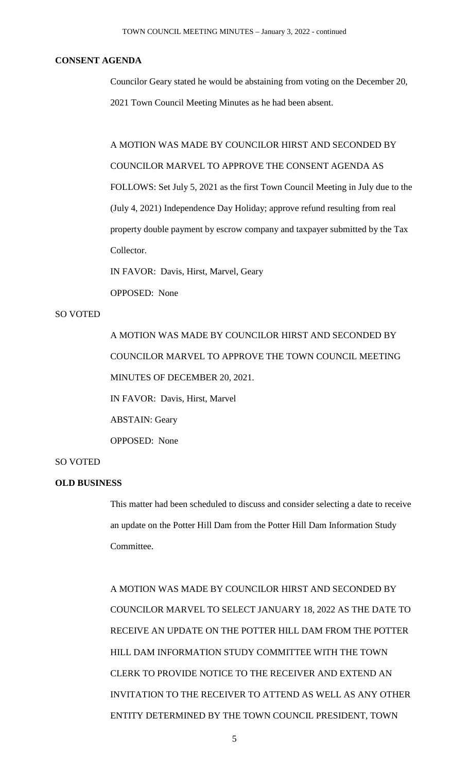# **CONSENT AGENDA**

Councilor Geary stated he would be abstaining from voting on the December 20, 2021 Town Council Meeting Minutes as he had been absent.

A MOTION WAS MADE BY COUNCILOR HIRST AND SECONDED BY COUNCILOR MARVEL TO APPROVE THE CONSENT AGENDA AS FOLLOWS: Set July 5, 2021 as the first Town Council Meeting in July due to the (July 4, 2021) Independence Day Holiday; approve refund resulting from real property double payment by escrow company and taxpayer submitted by the Tax Collector.

IN FAVOR: Davis, Hirst, Marvel, Geary

OPPOSED: None

# SO VOTED

A MOTION WAS MADE BY COUNCILOR HIRST AND SECONDED BY COUNCILOR MARVEL TO APPROVE THE TOWN COUNCIL MEETING MINUTES OF DECEMBER 20, 2021.

IN FAVOR: Davis, Hirst, Marvel

ABSTAIN: Geary

OPPOSED: None

### SO VOTED

#### **OLD BUSINESS**

This matter had been scheduled to discuss and consider selecting a date to receive an update on the Potter Hill Dam from the Potter Hill Dam Information Study Committee.

A MOTION WAS MADE BY COUNCILOR HIRST AND SECONDED BY COUNCILOR MARVEL TO SELECT JANUARY 18, 2022 AS THE DATE TO RECEIVE AN UPDATE ON THE POTTER HILL DAM FROM THE POTTER HILL DAM INFORMATION STUDY COMMITTEE WITH THE TOWN CLERK TO PROVIDE NOTICE TO THE RECEIVER AND EXTEND AN INVITATION TO THE RECEIVER TO ATTEND AS WELL AS ANY OTHER ENTITY DETERMINED BY THE TOWN COUNCIL PRESIDENT, TOWN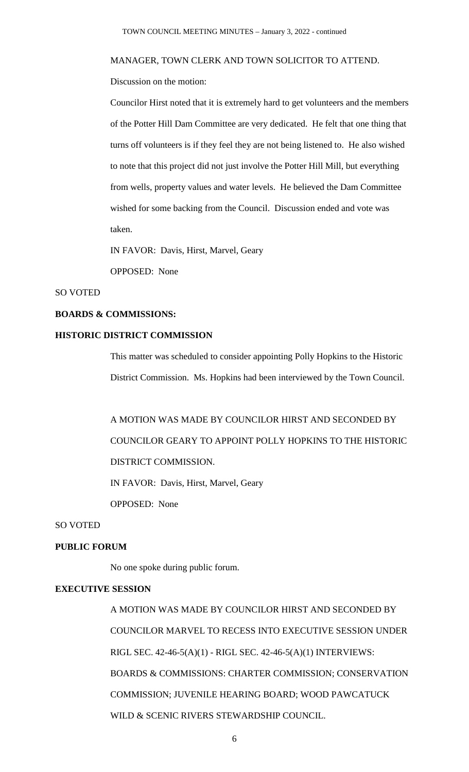#### MANAGER, TOWN CLERK AND TOWN SOLICITOR TO ATTEND.

Discussion on the motion:

Councilor Hirst noted that it is extremely hard to get volunteers and the members of the Potter Hill Dam Committee are very dedicated. He felt that one thing that turns off volunteers is if they feel they are not being listened to. He also wished to note that this project did not just involve the Potter Hill Mill, but everything from wells, property values and water levels. He believed the Dam Committee wished for some backing from the Council. Discussion ended and vote was taken.

IN FAVOR: Davis, Hirst, Marvel, Geary

OPPOSED: None

#### SO VOTED

#### **BOARDS & COMMISSIONS:**

# **HISTORIC DISTRICT COMMISSION**

This matter was scheduled to consider appointing Polly Hopkins to the Historic District Commission. Ms. Hopkins had been interviewed by the Town Council.

A MOTION WAS MADE BY COUNCILOR HIRST AND SECONDED BY COUNCILOR GEARY TO APPOINT POLLY HOPKINS TO THE HISTORIC DISTRICT COMMISSION. IN FAVOR: Davis, Hirst, Marvel, Geary

OPPOSED: None

#### SO VOTED

# **PUBLIC FORUM**

No one spoke during public forum.

#### **EXECUTIVE SESSION**

A MOTION WAS MADE BY COUNCILOR HIRST AND SECONDED BY COUNCILOR MARVEL TO RECESS INTO EXECUTIVE SESSION UNDER RIGL SEC. 42-46-5(A)(1) - RIGL SEC. 42-46-5(A)(1) INTERVIEWS: BOARDS & COMMISSIONS: CHARTER COMMISSION; CONSERVATION COMMISSION; JUVENILE HEARING BOARD; WOOD PAWCATUCK WILD & SCENIC RIVERS STEWARDSHIP COUNCIL.